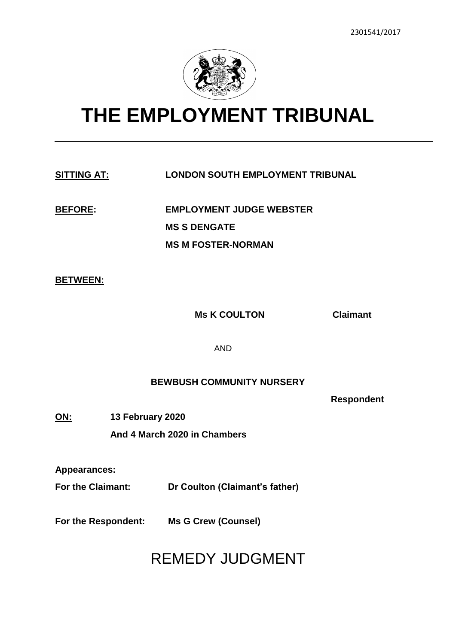

# **THE EMPLOYMENT TRIBUNAL**

### **SITTING AT: LONDON SOUTH EMPLOYMENT TRIBUNAL**

**BEFORE: EMPLOYMENT JUDGE WEBSTER MS S DENGATE MS M FOSTER-NORMAN**

#### **BETWEEN:**

**Ms K COULTON Claimant**

AND

### **BEWBUSH COMMUNITY NURSERY**

**Respondent** 

**ON: 13 February 2020 And 4 March 2020 in Chambers**

**Appearances:**

**For the Claimant: Dr Coulton (Claimant's father)**

**For the Respondent: Ms G Crew (Counsel)**

# REMEDY JUDGMENT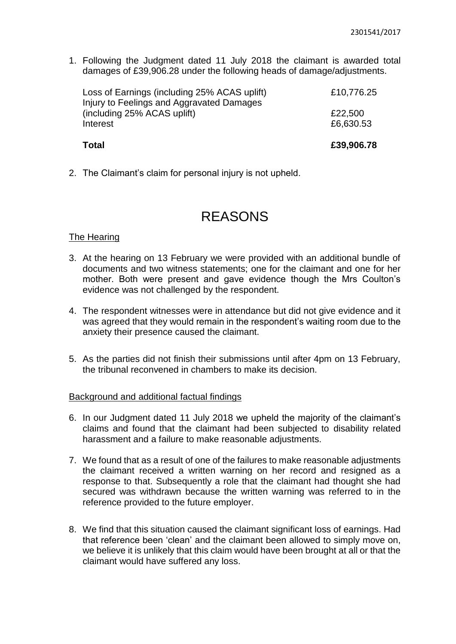1. Following the Judgment dated 11 July 2018 the claimant is awarded total damages of £39,906.28 under the following heads of damage/adjustments.

| <b>Total</b>                                 | £39,906.78           |
|----------------------------------------------|----------------------|
| (including 25% ACAS uplift)<br>Interest      | £22,500<br>£6,630.53 |
| Injury to Feelings and Aggravated Damages    |                      |
| Loss of Earnings (including 25% ACAS uplift) | £10,776.25           |

2. The Claimant's claim for personal injury is not upheld.

## REASONS

#### The Hearing

- 3. At the hearing on 13 February we were provided with an additional bundle of documents and two witness statements; one for the claimant and one for her mother. Both were present and gave evidence though the Mrs Coulton's evidence was not challenged by the respondent.
- 4. The respondent witnesses were in attendance but did not give evidence and it was agreed that they would remain in the respondent's waiting room due to the anxiety their presence caused the claimant.
- 5. As the parties did not finish their submissions until after 4pm on 13 February, the tribunal reconvened in chambers to make its decision.

#### Background and additional factual findings

- 6. In our Judgment dated 11 July 2018 we upheld the majority of the claimant's claims and found that the claimant had been subjected to disability related harassment and a failure to make reasonable adjustments.
- 7. We found that as a result of one of the failures to make reasonable adjustments the claimant received a written warning on her record and resigned as a response to that. Subsequently a role that the claimant had thought she had secured was withdrawn because the written warning was referred to in the reference provided to the future employer.
- 8. We find that this situation caused the claimant significant loss of earnings. Had that reference been 'clean' and the claimant been allowed to simply move on, we believe it is unlikely that this claim would have been brought at all or that the claimant would have suffered any loss.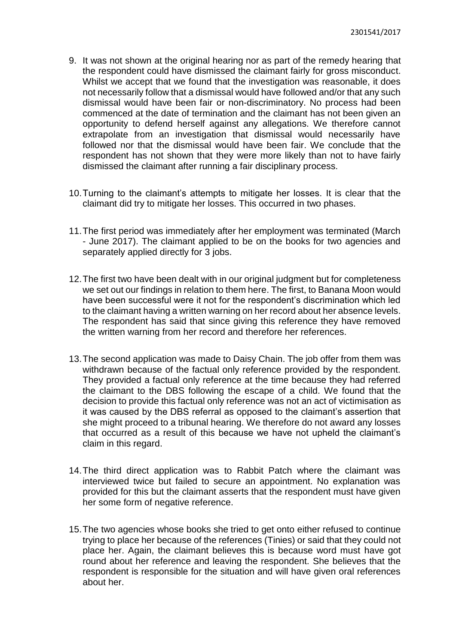- 9. It was not shown at the original hearing nor as part of the remedy hearing that the respondent could have dismissed the claimant fairly for gross misconduct. Whilst we accept that we found that the investigation was reasonable, it does not necessarily follow that a dismissal would have followed and/or that any such dismissal would have been fair or non-discriminatory. No process had been commenced at the date of termination and the claimant has not been given an opportunity to defend herself against any allegations. We therefore cannot extrapolate from an investigation that dismissal would necessarily have followed nor that the dismissal would have been fair. We conclude that the respondent has not shown that they were more likely than not to have fairly dismissed the claimant after running a fair disciplinary process.
- 10.Turning to the claimant's attempts to mitigate her losses. It is clear that the claimant did try to mitigate her losses. This occurred in two phases.
- 11.The first period was immediately after her employment was terminated (March - June 2017). The claimant applied to be on the books for two agencies and separately applied directly for 3 jobs.
- 12.The first two have been dealt with in our original judgment but for completeness we set out our findings in relation to them here. The first, to Banana Moon would have been successful were it not for the respondent's discrimination which led to the claimant having a written warning on her record about her absence levels. The respondent has said that since giving this reference they have removed the written warning from her record and therefore her references.
- 13.The second application was made to Daisy Chain. The job offer from them was withdrawn because of the factual only reference provided by the respondent. They provided a factual only reference at the time because they had referred the claimant to the DBS following the escape of a child. We found that the decision to provide this factual only reference was not an act of victimisation as it was caused by the DBS referral as opposed to the claimant's assertion that she might proceed to a tribunal hearing. We therefore do not award any losses that occurred as a result of this because we have not upheld the claimant's claim in this regard.
- 14.The third direct application was to Rabbit Patch where the claimant was interviewed twice but failed to secure an appointment. No explanation was provided for this but the claimant asserts that the respondent must have given her some form of negative reference.
- 15.The two agencies whose books she tried to get onto either refused to continue trying to place her because of the references (Tinies) or said that they could not place her. Again, the claimant believes this is because word must have got round about her reference and leaving the respondent. She believes that the respondent is responsible for the situation and will have given oral references about her.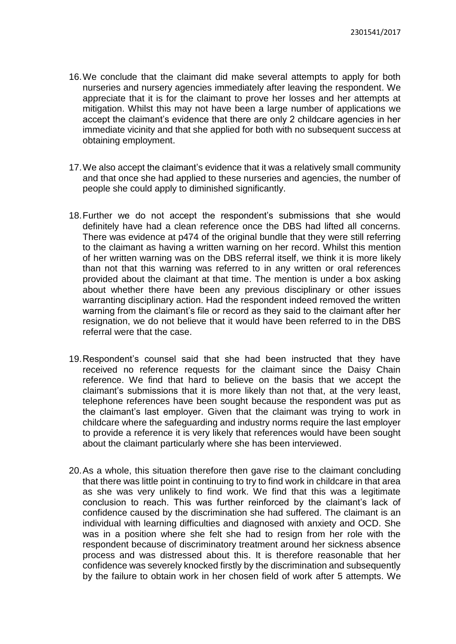- 16.We conclude that the claimant did make several attempts to apply for both nurseries and nursery agencies immediately after leaving the respondent. We appreciate that it is for the claimant to prove her losses and her attempts at mitigation. Whilst this may not have been a large number of applications we accept the claimant's evidence that there are only 2 childcare agencies in her immediate vicinity and that she applied for both with no subsequent success at obtaining employment.
- 17.We also accept the claimant's evidence that it was a relatively small community and that once she had applied to these nurseries and agencies, the number of people she could apply to diminished significantly.
- 18.Further we do not accept the respondent's submissions that she would definitely have had a clean reference once the DBS had lifted all concerns. There was evidence at p474 of the original bundle that they were still referring to the claimant as having a written warning on her record. Whilst this mention of her written warning was on the DBS referral itself, we think it is more likely than not that this warning was referred to in any written or oral references provided about the claimant at that time. The mention is under a box asking about whether there have been any previous disciplinary or other issues warranting disciplinary action. Had the respondent indeed removed the written warning from the claimant's file or record as they said to the claimant after her resignation, we do not believe that it would have been referred to in the DBS referral were that the case.
- 19.Respondent's counsel said that she had been instructed that they have received no reference requests for the claimant since the Daisy Chain reference. We find that hard to believe on the basis that we accept the claimant's submissions that it is more likely than not that, at the very least, telephone references have been sought because the respondent was put as the claimant's last employer. Given that the claimant was trying to work in childcare where the safeguarding and industry norms require the last employer to provide a reference it is very likely that references would have been sought about the claimant particularly where she has been interviewed.
- 20.As a whole, this situation therefore then gave rise to the claimant concluding that there was little point in continuing to try to find work in childcare in that area as she was very unlikely to find work. We find that this was a legitimate conclusion to reach. This was further reinforced by the claimant's lack of confidence caused by the discrimination she had suffered. The claimant is an individual with learning difficulties and diagnosed with anxiety and OCD. She was in a position where she felt she had to resign from her role with the respondent because of discriminatory treatment around her sickness absence process and was distressed about this. It is therefore reasonable that her confidence was severely knocked firstly by the discrimination and subsequently by the failure to obtain work in her chosen field of work after 5 attempts. We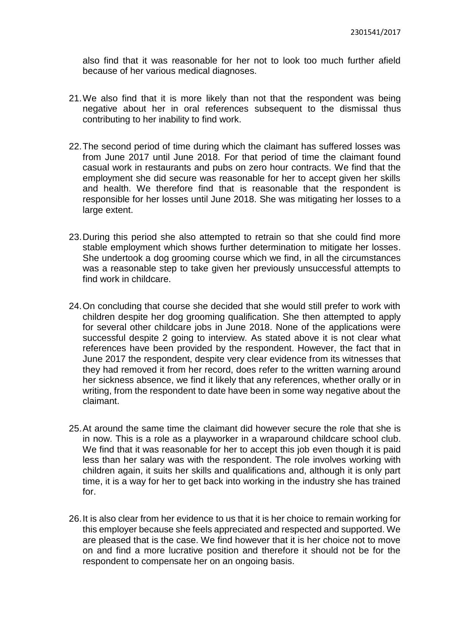also find that it was reasonable for her not to look too much further afield because of her various medical diagnoses.

- 21.We also find that it is more likely than not that the respondent was being negative about her in oral references subsequent to the dismissal thus contributing to her inability to find work.
- 22.The second period of time during which the claimant has suffered losses was from June 2017 until June 2018. For that period of time the claimant found casual work in restaurants and pubs on zero hour contracts. We find that the employment she did secure was reasonable for her to accept given her skills and health. We therefore find that is reasonable that the respondent is responsible for her losses until June 2018. She was mitigating her losses to a large extent.
- 23.During this period she also attempted to retrain so that she could find more stable employment which shows further determination to mitigate her losses. She undertook a dog grooming course which we find, in all the circumstances was a reasonable step to take given her previously unsuccessful attempts to find work in childcare.
- 24.On concluding that course she decided that she would still prefer to work with children despite her dog grooming qualification. She then attempted to apply for several other childcare jobs in June 2018. None of the applications were successful despite 2 going to interview. As stated above it is not clear what references have been provided by the respondent. However, the fact that in June 2017 the respondent, despite very clear evidence from its witnesses that they had removed it from her record, does refer to the written warning around her sickness absence, we find it likely that any references, whether orally or in writing, from the respondent to date have been in some way negative about the claimant.
- 25.At around the same time the claimant did however secure the role that she is in now. This is a role as a playworker in a wraparound childcare school club. We find that it was reasonable for her to accept this job even though it is paid less than her salary was with the respondent. The role involves working with children again, it suits her skills and qualifications and, although it is only part time, it is a way for her to get back into working in the industry she has trained for.
- 26.It is also clear from her evidence to us that it is her choice to remain working for this employer because she feels appreciated and respected and supported. We are pleased that is the case. We find however that it is her choice not to move on and find a more lucrative position and therefore it should not be for the respondent to compensate her on an ongoing basis.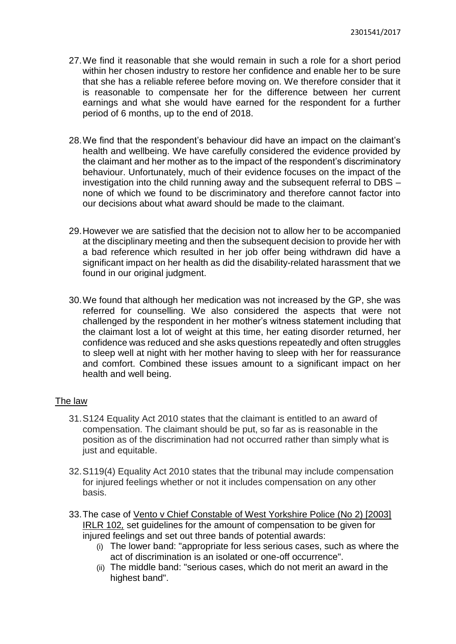- 27.We find it reasonable that she would remain in such a role for a short period within her chosen industry to restore her confidence and enable her to be sure that she has a reliable referee before moving on. We therefore consider that it is reasonable to compensate her for the difference between her current earnings and what she would have earned for the respondent for a further period of 6 months, up to the end of 2018.
- 28.We find that the respondent's behaviour did have an impact on the claimant's health and wellbeing. We have carefully considered the evidence provided by the claimant and her mother as to the impact of the respondent's discriminatory behaviour. Unfortunately, much of their evidence focuses on the impact of the investigation into the child running away and the subsequent referral to DBS – none of which we found to be discriminatory and therefore cannot factor into our decisions about what award should be made to the claimant.
- 29.However we are satisfied that the decision not to allow her to be accompanied at the disciplinary meeting and then the subsequent decision to provide her with a bad reference which resulted in her job offer being withdrawn did have a significant impact on her health as did the disability-related harassment that we found in our original judgment.
- 30.We found that although her medication was not increased by the GP, she was referred for counselling. We also considered the aspects that were not challenged by the respondent in her mother's witness statement including that the claimant lost a lot of weight at this time, her eating disorder returned, her confidence was reduced and she asks questions repeatedly and often struggles to sleep well at night with her mother having to sleep with her for reassurance and comfort. Combined these issues amount to a significant impact on her health and well being.

#### The law

- 31.S124 Equality Act 2010 states that the claimant is entitled to an award of compensation. The claimant should be put, so far as is reasonable in the position as of the discrimination had not occurred rather than simply what is just and equitable.
- 32.S119(4) Equality Act 2010 states that the tribunal may include compensation for injured feelings whether or not it includes compensation on any other basis.
- 33.The case of [Vento v Chief Constable of West Yorkshire Police \(No 2\) \[2003\]](https://uk.practicallaw.thomsonreuters.com/D-000-2803?originationContext=document&transitionType=PLDocumentLink&contextData=(sc.Default))  [IRLR 102](https://uk.practicallaw.thomsonreuters.com/D-000-2803?originationContext=document&transitionType=PLDocumentLink&contextData=(sc.Default))*,* set guidelines for the amount of compensation to be given for injured feelings and set out three bands of potential awards:
	- (i) The lower band: "appropriate for less serious cases, such as where the act of discrimination is an isolated or one-off occurrence".
	- (ii) The middle band: "serious cases, which do not merit an award in the highest band".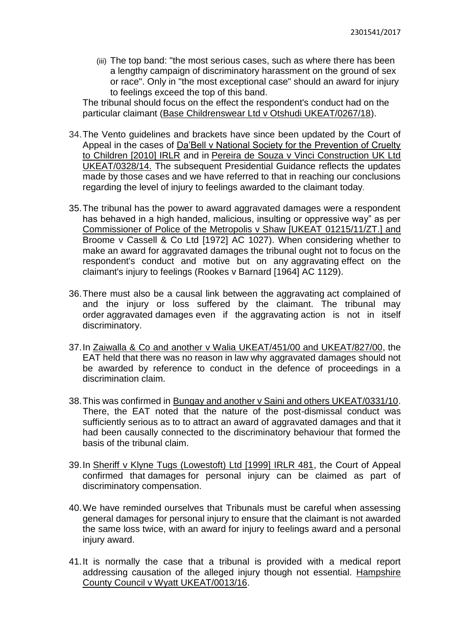(iii) The top band: "the most serious cases, such as where there has been a lengthy campaign of discriminatory harassment on the ground of sex or race". Only in "the most exceptional case" should an award for injury to feelings exceed the top of this band.

The tribunal should focus on the effect the respondent's conduct had on the particular claimant [\(Base Childrenswear Ltd v Otshudi UKEAT/0267/18\)](https://uk.practicallaw.thomsonreuters.com/D-103-9357?originationContext=document&transitionType=PLDocumentLink&contextData=(sc.Default)).

- 34.The Vento guidelines and brackets have since been updated by the Court of Appeal in the cases of Da'Bell v National Society for the Prevention of Cruelty to Children [2010] IRLR and in [Pereira de Souza v Vinci Construction UK Ltd](https://uk.practicallaw.thomsonreuters.com/3-606-7506?originationContext=document&transitionType=DocumentItem&contextData=(sc.Default))  [UKEAT/0328/14.](https://uk.practicallaw.thomsonreuters.com/3-606-7506?originationContext=document&transitionType=DocumentItem&contextData=(sc.Default)) The subsequent Presidential Guidance reflects the updates made by those cases and we have referred to that in reaching our conclusions regarding the level of injury to feelings awarded to the claimant today*.*
- 35.The tribunal has the power to award aggravated damages were a respondent has behaved in a high handed, malicious, insulting or oppressive way" as per Commissioner of Police of the Metropolis v Shaw [UKEAT 01215/11/ZT.] and [Broome v Cassell & Co Ltd \[1972\] AC 1027\)](https://uk.practicallaw.thomsonreuters.com/D-000-6386?originationContext=document&transitionType=PLDocumentLink&contextData=(sc.Default)). When considering whether to make an award for aggravated damages the tribunal ought not to focus on the respondent's conduct and motive but on any aggravating effect on the claimant's injury to feelings [\(Rookes v Barnard \[1964\] AC 1129\)](https://uk.practicallaw.thomsonreuters.com/D-000-2519?originationContext=document&transitionType=PLDocumentLink&contextData=(sc.Default)).
- 36.There must also be a causal link between the aggravating act complained of and the injury or loss suffered by the claimant. The tribunal may order aggravated damages even if the aggravating action is not in itself discriminatory.
- 37.In Zaiwalla & Co and another v Walia [UKEAT/451/00 and UKEAT/827/00,](https://uk.practicallaw.thomsonreuters.com/D-004-5096?originationContext=document&transitionType=PLDocumentLink&contextData=(sc.Default)) the EAT held that there was no reason in law why aggravated damages should not be awarded by reference to conduct in the defence of proceedings in a discrimination claim.
- 38.This was confirmed in [Bungay and another v Saini and others UKEAT/0331/10.](https://uk.practicallaw.thomsonreuters.com/D-000-2273?originationContext=document&transitionType=PLDocumentLink&contextData=(sc.Default)) There, the EAT noted that the nature of the post-dismissal conduct was sufficiently serious as to to attract an award of aggravated damages and that it had been causally connected to the discriminatory behaviour that formed the basis of the tribunal claim.
- 39.In [Sheriff v Klyne Tugs \(Lowestoft\) Ltd \[1999\] IRLR 481,](https://uk.practicallaw.thomsonreuters.com/D-000-2757?originationContext=document&transitionType=PLDocumentLink&contextData=(sc.Default)) the Court of Appeal confirmed that damages for personal injury can be claimed as part of discriminatory compensation.
- 40.We have reminded ourselves that Tribunals must be careful when assessing general damages for personal injury to ensure that the claimant is not awarded the same loss twice, with an award for injury to feelings award and a personal injury award.
- 41.It is normally the case that a tribunal is provided with a medical report addressing causation of the alleged injury though not essential. [Hampshire](http://www.bailii.org/uk/cases/UKEAT/2016/0013_16_1310.html)  [County Council v Wyatt UKEAT/0013/16.](http://www.bailii.org/uk/cases/UKEAT/2016/0013_16_1310.html)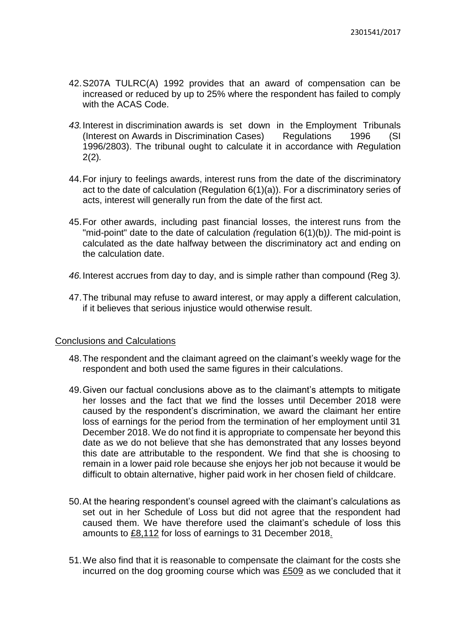- 42.S207A TULRC(A) 1992 provides that an award of compensation can be increased or reduced by up to 25% where the respondent has failed to comply with the ACAS Code.
- *43.*Interest in discrimination awards is set down in the [Employment Tribunals](https://uk.practicallaw.thomsonreuters.com/4-509-0951?originationContext=document&transitionType=PLDocumentLink&contextData=(sc.Default))  (Interest on Awards in Discrimination [Cases\) Regulations 1996 \(SI](https://uk.practicallaw.thomsonreuters.com/4-509-0951?originationContext=document&transitionType=PLDocumentLink&contextData=(sc.Default))  [1996/2803\).](https://uk.practicallaw.thomsonreuters.com/4-509-0951?originationContext=document&transitionType=PLDocumentLink&contextData=(sc.Default)) The tribunal ought to calculate it in accordance with *R*egulation 2(2)*.*
- 44.For injury to feelings awards, interest runs from the date of the discriminatory act to the date of calculation [\(Regulation 6\(1\)\(a\)\)](https://uk.practicallaw.thomsonreuters.com/1-509-2305?originationContext=document&transitionType=PLDocumentLink&contextData=(sc.Default)). For a discriminatory series of acts, interest will generally run from the date of the first act.
- 45.For other awards, including past financial losses, the interest runs from the "mid-point" date to the date of calculation *(*regulation 6(1)(b)*)*. The mid-point is calculated as the date halfway between the discriminatory act and ending on the calculation date.
- *46.*Interest accrues from day to day, and is simple rather than compound [\(Reg 3](https://uk.practicallaw.thomsonreuters.com/9-509-2306?originationContext=document&transitionType=PLDocumentLink&contextData=(sc.Default))*).*
- 47.The tribunal may refuse to award interest, or may apply a different calculation, if it believes that serious injustice would otherwise result.

#### Conclusions and Calculations

- 48.The respondent and the claimant agreed on the claimant's weekly wage for the respondent and both used the same figures in their calculations.
- 49.Given our factual conclusions above as to the claimant's attempts to mitigate her losses and the fact that we find the losses until December 2018 were caused by the respondent's discrimination, we award the claimant her entire loss of earnings for the period from the termination of her employment until 31 December 2018. We do not find it is appropriate to compensate her beyond this date as we do not believe that she has demonstrated that any losses beyond this date are attributable to the respondent. We find that she is choosing to remain in a lower paid role because she enjoys her job not because it would be difficult to obtain alternative, higher paid work in her chosen field of childcare.
- 50.At the hearing respondent's counsel agreed with the claimant's calculations as set out in her Schedule of Loss but did not agree that the respondent had caused them. We have therefore used the claimant's schedule of loss this amounts to £8,112 for loss of earnings to 31 December 2018.
- 51.We also find that it is reasonable to compensate the claimant for the costs she incurred on the dog grooming course which was £509 as we concluded that it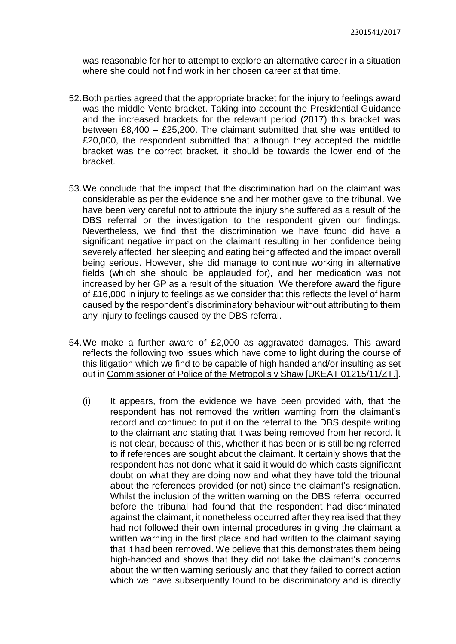was reasonable for her to attempt to explore an alternative career in a situation where she could not find work in her chosen career at that time.

- 52.Both parties agreed that the appropriate bracket for the injury to feelings award was the middle Vento bracket. Taking into account the Presidential Guidance and the increased brackets for the relevant period (2017) this bracket was between £8,400 – £25,200. The claimant submitted that she was entitled to £20,000, the respondent submitted that although they accepted the middle bracket was the correct bracket, it should be towards the lower end of the bracket.
- 53.We conclude that the impact that the discrimination had on the claimant was considerable as per the evidence she and her mother gave to the tribunal. We have been very careful not to attribute the injury she suffered as a result of the DBS referral or the investigation to the respondent given our findings. Nevertheless, we find that the discrimination we have found did have a significant negative impact on the claimant resulting in her confidence being severely affected, her sleeping and eating being affected and the impact overall being serious. However, she did manage to continue working in alternative fields (which she should be applauded for), and her medication was not increased by her GP as a result of the situation. We therefore award the figure of £16,000 in injury to feelings as we consider that this reflects the level of harm caused by the respondent's discriminatory behaviour without attributing to them any injury to feelings caused by the DBS referral.
- 54.We make a further award of £2,000 as aggravated damages. This award reflects the following two issues which have come to light during the course of this litigation which we find to be capable of high handed and/or insulting as set out in Commissioner of Police of the Metropolis v Shaw [UKEAT 01215/11/ZT.].
	- (i) It appears, from the evidence we have been provided with, that the respondent has not removed the written warning from the claimant's record and continued to put it on the referral to the DBS despite writing to the claimant and stating that it was being removed from her record. It is not clear, because of this, whether it has been or is still being referred to if references are sought about the claimant. It certainly shows that the respondent has not done what it said it would do which casts significant doubt on what they are doing now and what they have told the tribunal about the references provided (or not) since the claimant's resignation. Whilst the inclusion of the written warning on the DBS referral occurred before the tribunal had found that the respondent had discriminated against the claimant, it nonetheless occurred after they realised that they had not followed their own internal procedures in giving the claimant a written warning in the first place and had written to the claimant saying that it had been removed. We believe that this demonstrates them being high-handed and shows that they did not take the claimant's concerns about the written warning seriously and that they failed to correct action which we have subsequently found to be discriminatory and is directly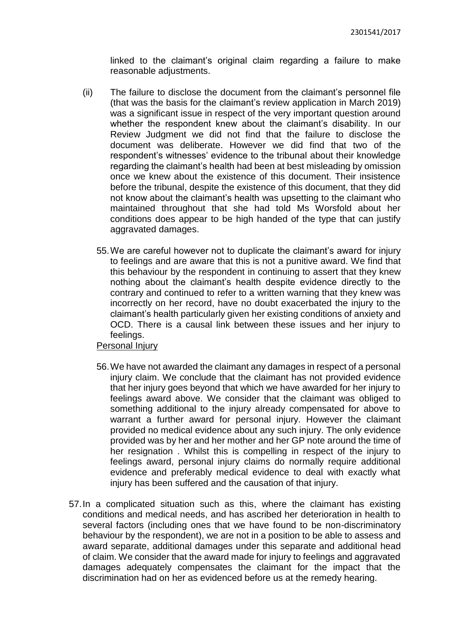linked to the claimant's original claim regarding a failure to make reasonable adjustments.

- (ii) The failure to disclose the document from the claimant's personnel file (that was the basis for the claimant's review application in March 2019) was a significant issue in respect of the very important question around whether the respondent knew about the claimant's disability. In our Review Judgment we did not find that the failure to disclose the document was deliberate. However we did find that two of the respondent's witnesses' evidence to the tribunal about their knowledge regarding the claimant's health had been at best misleading by omission once we knew about the existence of this document. Their insistence before the tribunal, despite the existence of this document, that they did not know about the claimant's health was upsetting to the claimant who maintained throughout that she had told Ms Worsfold about her conditions does appear to be high handed of the type that can justify aggravated damages.
	- 55.We are careful however not to duplicate the claimant's award for injury to feelings and are aware that this is not a punitive award. We find that this behaviour by the respondent in continuing to assert that they knew nothing about the claimant's health despite evidence directly to the contrary and continued to refer to a written warning that they knew was incorrectly on her record, have no doubt exacerbated the injury to the claimant's health particularly given her existing conditions of anxiety and OCD. There is a causal link between these issues and her injury to feelings.

#### Personal Injury

- 56.We have not awarded the claimant any damages in respect of a personal injury claim. We conclude that the claimant has not provided evidence that her injury goes beyond that which we have awarded for her injury to feelings award above. We consider that the claimant was obliged to something additional to the injury already compensated for above to warrant a further award for personal injury. However the claimant provided no medical evidence about any such injury. The only evidence provided was by her and her mother and her GP note around the time of her resignation . Whilst this is compelling in respect of the injury to feelings award, personal injury claims do normally require additional evidence and preferably medical evidence to deal with exactly what injury has been suffered and the causation of that injury.
- 57.In a complicated situation such as this, where the claimant has existing conditions and medical needs, and has ascribed her deterioration in health to several factors (including ones that we have found to be non-discriminatory behaviour by the respondent), we are not in a position to be able to assess and award separate, additional damages under this separate and additional head of claim. We consider that the award made for injury to feelings and aggravated damages adequately compensates the claimant for the impact that the discrimination had on her as evidenced before us at the remedy hearing.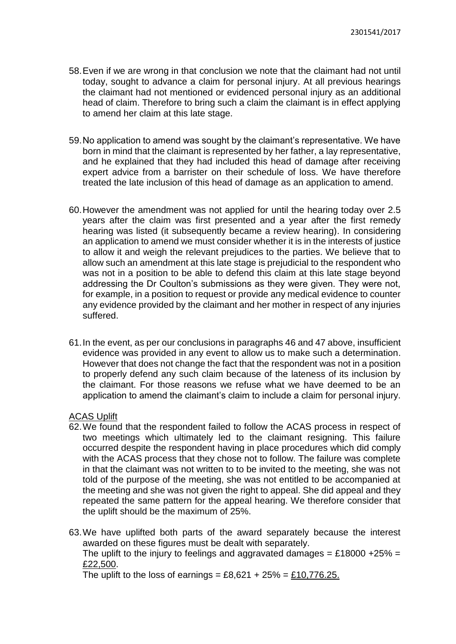- 58.Even if we are wrong in that conclusion we note that the claimant had not until today, sought to advance a claim for personal injury. At all previous hearings the claimant had not mentioned or evidenced personal injury as an additional head of claim. Therefore to bring such a claim the claimant is in effect applying to amend her claim at this late stage.
- 59.No application to amend was sought by the claimant's representative. We have born in mind that the claimant is represented by her father, a lay representative, and he explained that they had included this head of damage after receiving expert advice from a barrister on their schedule of loss. We have therefore treated the late inclusion of this head of damage as an application to amend.
- 60.However the amendment was not applied for until the hearing today over 2.5 years after the claim was first presented and a year after the first remedy hearing was listed (it subsequently became a review hearing). In considering an application to amend we must consider whether it is in the interests of justice to allow it and weigh the relevant prejudices to the parties. We believe that to allow such an amendment at this late stage is prejudicial to the respondent who was not in a position to be able to defend this claim at this late stage beyond addressing the Dr Coulton's submissions as they were given. They were not, for example, in a position to request or provide any medical evidence to counter any evidence provided by the claimant and her mother in respect of any injuries suffered.
- 61.In the event, as per our conclusions in paragraphs 46 and 47 above, insufficient evidence was provided in any event to allow us to make such a determination. However that does not change the fact that the respondent was not in a position to properly defend any such claim because of the lateness of its inclusion by the claimant. For those reasons we refuse what we have deemed to be an application to amend the claimant's claim to include a claim for personal injury.

#### ACAS Uplift

- 62.We found that the respondent failed to follow the ACAS process in respect of two meetings which ultimately led to the claimant resigning. This failure occurred despite the respondent having in place procedures which did comply with the ACAS process that they chose not to follow. The failure was complete in that the claimant was not written to to be invited to the meeting, she was not told of the purpose of the meeting, she was not entitled to be accompanied at the meeting and she was not given the right to appeal. She did appeal and they repeated the same pattern for the appeal hearing. We therefore consider that the uplift should be the maximum of 25%.
- 63.We have uplifted both parts of the award separately because the interest awarded on these figures must be dealt with separately.

The uplift to the injury to feelings and aggravated damages = £18000 +25% = £22,500.

The uplift to the loss of earnings =  $£8.621 + 25\% = £10.776.25$ .